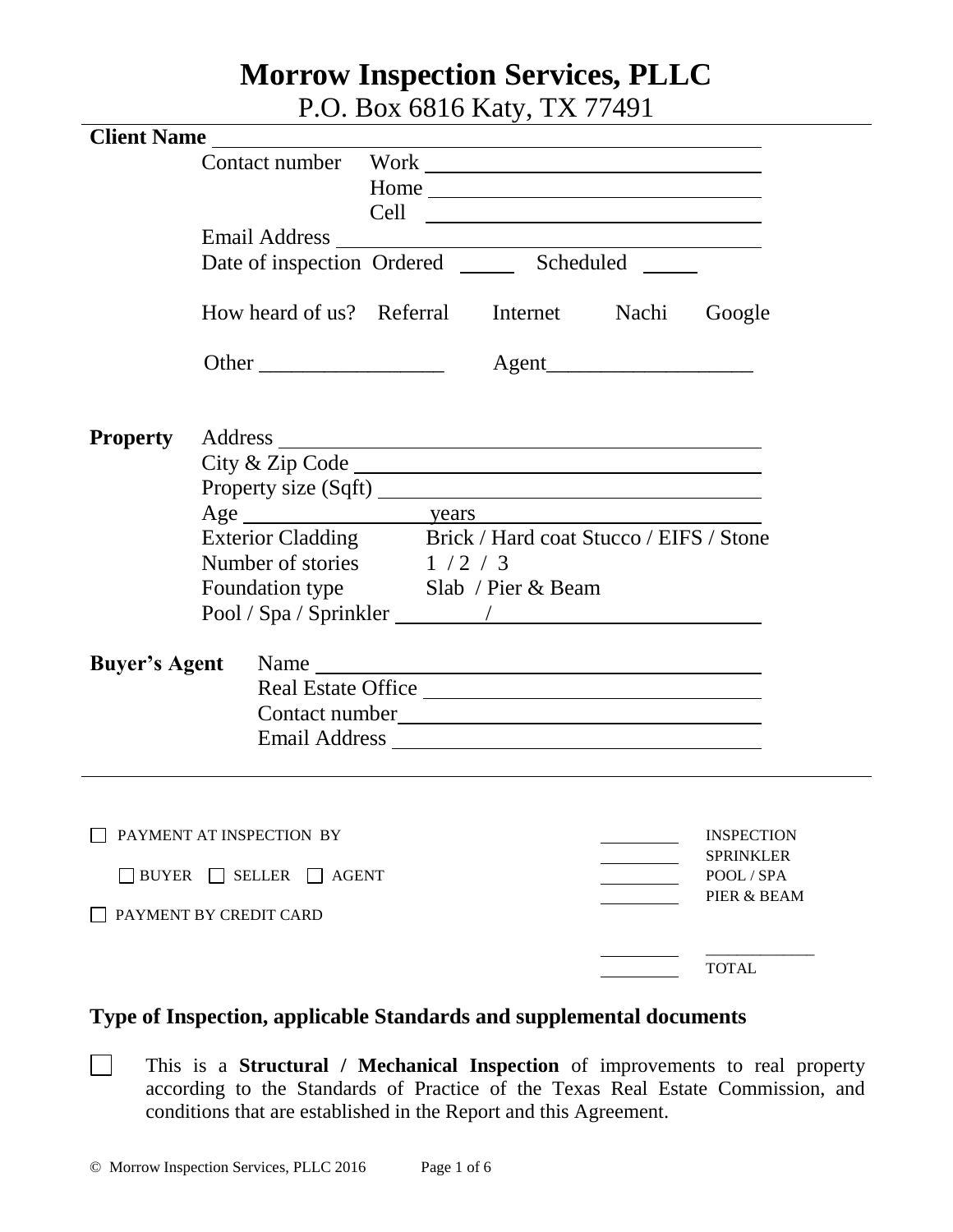# **Morrow Inspection Services, PLLC**

P.O. Box 6816 Katy, TX 77491

| <b>Client Name</b>   |                                                                                                                              |  |                                                           |  |                           |  |
|----------------------|------------------------------------------------------------------------------------------------------------------------------|--|-----------------------------------------------------------|--|---------------------------|--|
|                      | Contact number                                                                                                               |  | Work <u>Nicolas Communications</u>                        |  |                           |  |
|                      |                                                                                                                              |  | Home                                                      |  |                           |  |
|                      |                                                                                                                              |  |                                                           |  |                           |  |
|                      | <b>Email Address</b>                                                                                                         |  | <u> 1980 - Andrea Stadt Britain, amerikansk politik (</u> |  |                           |  |
|                      | Date of inspection Ordered ________ Scheduled ______                                                                         |  |                                                           |  |                           |  |
|                      | How heard of us? Referral Internet Nachi                                                                                     |  |                                                           |  | Google                    |  |
|                      | Other                                                                                                                        |  |                                                           |  |                           |  |
| <b>Property</b>      |                                                                                                                              |  |                                                           |  |                           |  |
|                      |                                                                                                                              |  |                                                           |  |                           |  |
|                      | Exterior Cladding Brick / Hard coat Stucco / EIFS / Stone<br>Number of stories $1/2/3$<br>Foundation type Slab / Pier & Beam |  |                                                           |  |                           |  |
|                      |                                                                                                                              |  |                                                           |  |                           |  |
|                      |                                                                                                                              |  |                                                           |  |                           |  |
|                      |                                                                                                                              |  |                                                           |  |                           |  |
|                      |                                                                                                                              |  |                                                           |  |                           |  |
|                      |                                                                                                                              |  |                                                           |  |                           |  |
| <b>Buyer's Agent</b> |                                                                                                                              |  |                                                           |  |                           |  |
|                      | Name<br>Real Estate Office                                                                                                   |  |                                                           |  |                           |  |
|                      |                                                                                                                              |  | Contact number                                            |  |                           |  |
|                      |                                                                                                                              |  |                                                           |  |                           |  |
|                      |                                                                                                                              |  |                                                           |  |                           |  |
|                      |                                                                                                                              |  |                                                           |  |                           |  |
|                      | PAYMENT AT INSPECTION BY                                                                                                     |  |                                                           |  | <b>INSPECTION</b>         |  |
|                      |                                                                                                                              |  |                                                           |  | <b>SPRINKLER</b>          |  |
| $\Box$ BUYER         | $\Box$ SELLER $\Box$ AGENT                                                                                                   |  |                                                           |  | POOL / SPA<br>PIER & BEAM |  |
|                      | PAYMENT BY CREDIT CARD                                                                                                       |  |                                                           |  |                           |  |
|                      |                                                                                                                              |  |                                                           |  | <b>TOTAL</b>              |  |
|                      |                                                                                                                              |  |                                                           |  |                           |  |

# **Type of Inspection, applicable Standards and supplemental documents**

This is a **Structural / Mechanical Inspection** of improvements to real property according to the Standards of Practice of the Texas Real Estate Commission, and conditions that are established in the Report and this Agreement.

 $\Box$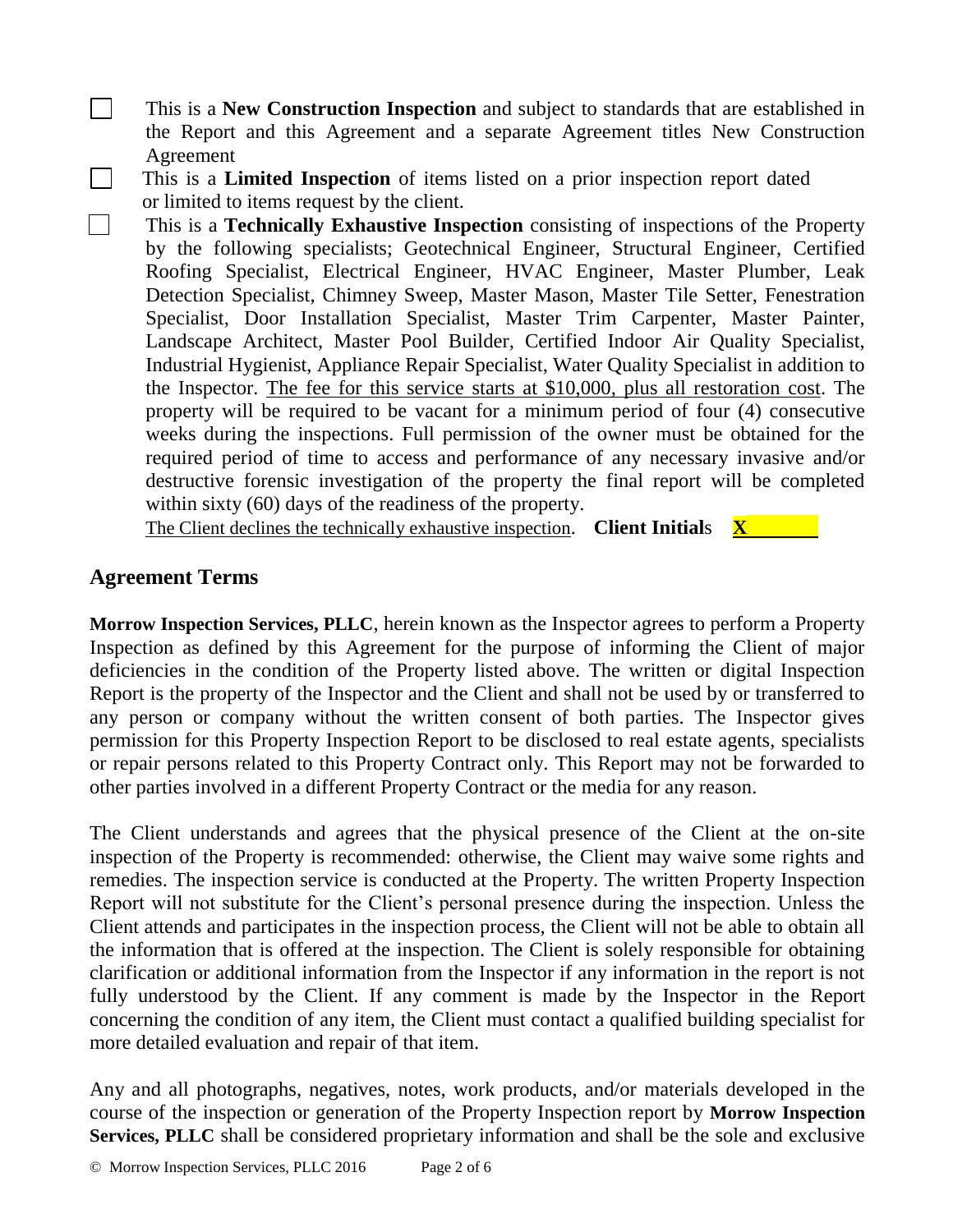- This is a **New Construction Inspection** and subject to standards that are established in the Report and this Agreement and a separate Agreement titles New Construction Agreement
- This is a **Limited Inspection** of items listed on a prior inspection report dated or limited to items request by the client.
- This is a **Technically Exhaustive Inspection** consisting of inspections of the Property by the following specialists; Geotechnical Engineer, Structural Engineer, Certified Roofing Specialist, Electrical Engineer, HVAC Engineer, Master Plumber, Leak Detection Specialist, Chimney Sweep, Master Mason, Master Tile Setter, Fenestration Specialist, Door Installation Specialist, Master Trim Carpenter, Master Painter, Landscape Architect, Master Pool Builder, Certified Indoor Air Quality Specialist, Industrial Hygienist, Appliance Repair Specialist, Water Quality Specialist in addition to the Inspector. The fee for this service starts at \$10,000, plus all restoration cost. The property will be required to be vacant for a minimum period of four (4) consecutive weeks during the inspections. Full permission of the owner must be obtained for the required period of time to access and performance of any necessary invasive and/or destructive forensic investigation of the property the final report will be completed within sixty (60) days of the readiness of the property.

The Client declines the technically exhaustive inspection. **Client Initial**s **X** 

### **Agreement Terms**

 $\Box$ 

 $\Box$ 

 $\mathbb{R}^n$ 

**Morrow Inspection Services, PLLC**, herein known as the Inspector agrees to perform a Property Inspection as defined by this Agreement for the purpose of informing the Client of major deficiencies in the condition of the Property listed above. The written or digital Inspection Report is the property of the Inspector and the Client and shall not be used by or transferred to any person or company without the written consent of both parties. The Inspector gives permission for this Property Inspection Report to be disclosed to real estate agents, specialists or repair persons related to this Property Contract only. This Report may not be forwarded to other parties involved in a different Property Contract or the media for any reason.

The Client understands and agrees that the physical presence of the Client at the on-site inspection of the Property is recommended: otherwise, the Client may waive some rights and remedies. The inspection service is conducted at the Property. The written Property Inspection Report will not substitute for the Client's personal presence during the inspection. Unless the Client attends and participates in the inspection process, the Client will not be able to obtain all the information that is offered at the inspection. The Client is solely responsible for obtaining clarification or additional information from the Inspector if any information in the report is not fully understood by the Client. If any comment is made by the Inspector in the Report concerning the condition of any item, the Client must contact a qualified building specialist for more detailed evaluation and repair of that item.

Any and all photographs, negatives, notes, work products, and/or materials developed in the course of the inspection or generation of the Property Inspection report by **Morrow Inspection Services, PLLC** shall be considered proprietary information and shall be the sole and exclusive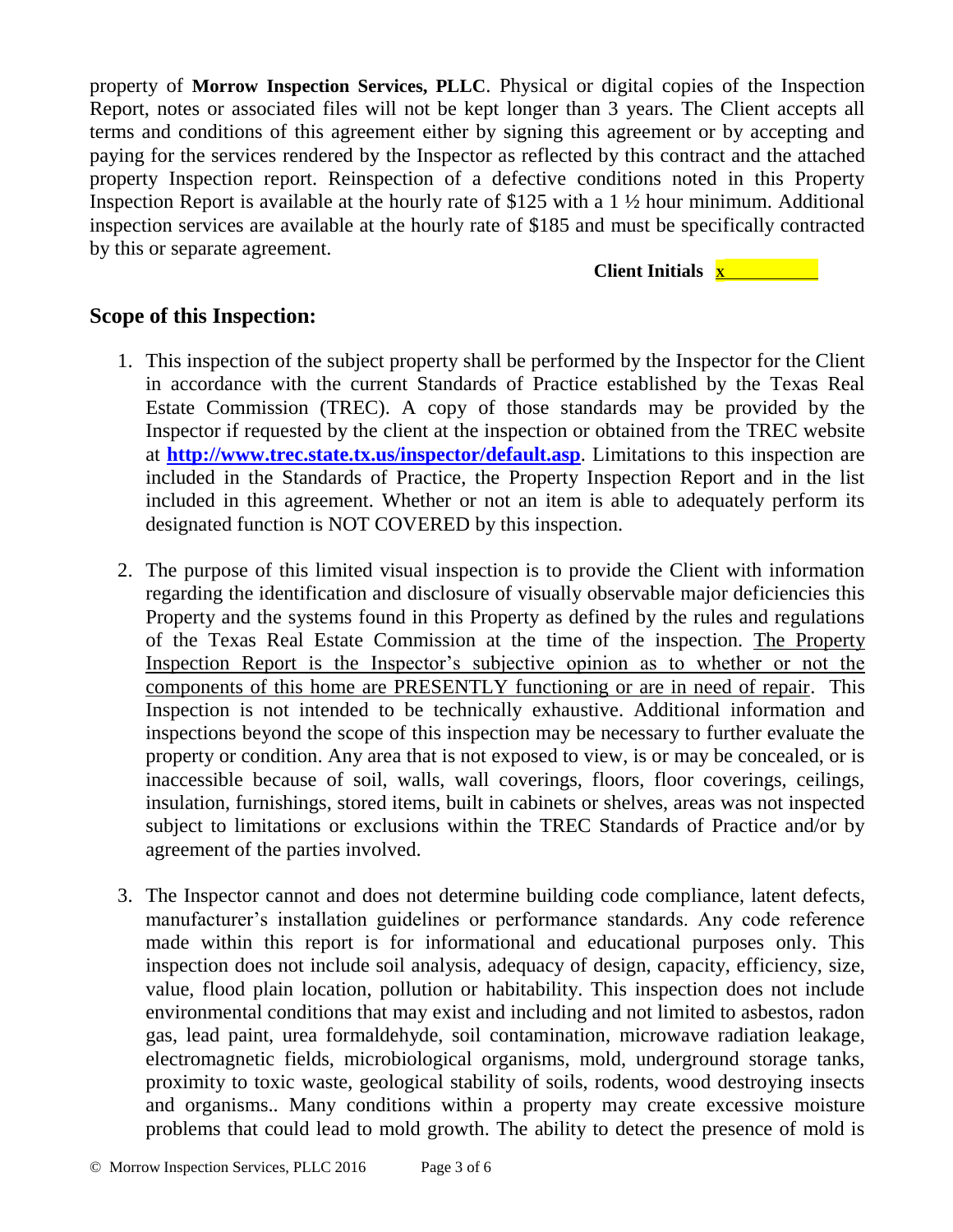property of **Morrow Inspection Services, PLLC**. Physical or digital copies of the Inspection Report, notes or associated files will not be kept longer than 3 years. The Client accepts all terms and conditions of this agreement either by signing this agreement or by accepting and paying for the services rendered by the Inspector as reflected by this contract and the attached property Inspection report. Reinspection of a defective conditions noted in this Property Inspection Report is available at the hourly rate of \$125 with a 1 ½ hour minimum. Additional inspection services are available at the hourly rate of \$185 and must be specifically contracted by this or separate agreement.

#### **Client Initials <sup>X</sup>**

### **Scope of this Inspection:**

- 1. This inspection of the subject property shall be performed by the Inspector for the Client in accordance with the current Standards of Practice established by the Texas Real Estate Commission (TREC). A copy of those standards may be provided by the Inspector if requested by the client at the inspection or obtained from the TREC website at **<http://www.trec.state.tx.us/inspector/default.asp>**. Limitations to this inspection are included in the Standards of Practice, the Property Inspection Report and in the list included in this agreement. Whether or not an item is able to adequately perform its designated function is NOT COVERED by this inspection.
- 2. The purpose of this limited visual inspection is to provide the Client with information regarding the identification and disclosure of visually observable major deficiencies this Property and the systems found in this Property as defined by the rules and regulations of the Texas Real Estate Commission at the time of the inspection. The Property Inspection Report is the Inspector's subjective opinion as to whether or not the components of this home are PRESENTLY functioning or are in need of repair. This Inspection is not intended to be technically exhaustive. Additional information and inspections beyond the scope of this inspection may be necessary to further evaluate the property or condition. Any area that is not exposed to view, is or may be concealed, or is inaccessible because of soil, walls, wall coverings, floors, floor coverings, ceilings, insulation, furnishings, stored items, built in cabinets or shelves, areas was not inspected subject to limitations or exclusions within the TREC Standards of Practice and/or by agreement of the parties involved.
- 3. The Inspector cannot and does not determine building code compliance, latent defects, manufacturer's installation guidelines or performance standards. Any code reference made within this report is for informational and educational purposes only. This inspection does not include soil analysis, adequacy of design, capacity, efficiency, size, value, flood plain location, pollution or habitability. This inspection does not include environmental conditions that may exist and including and not limited to asbestos, radon gas, lead paint, urea formaldehyde, soil contamination, microwave radiation leakage, electromagnetic fields, microbiological organisms, mold, underground storage tanks, proximity to toxic waste, geological stability of soils, rodents, wood destroying insects and organisms.. Many conditions within a property may create excessive moisture problems that could lead to mold growth. The ability to detect the presence of mold is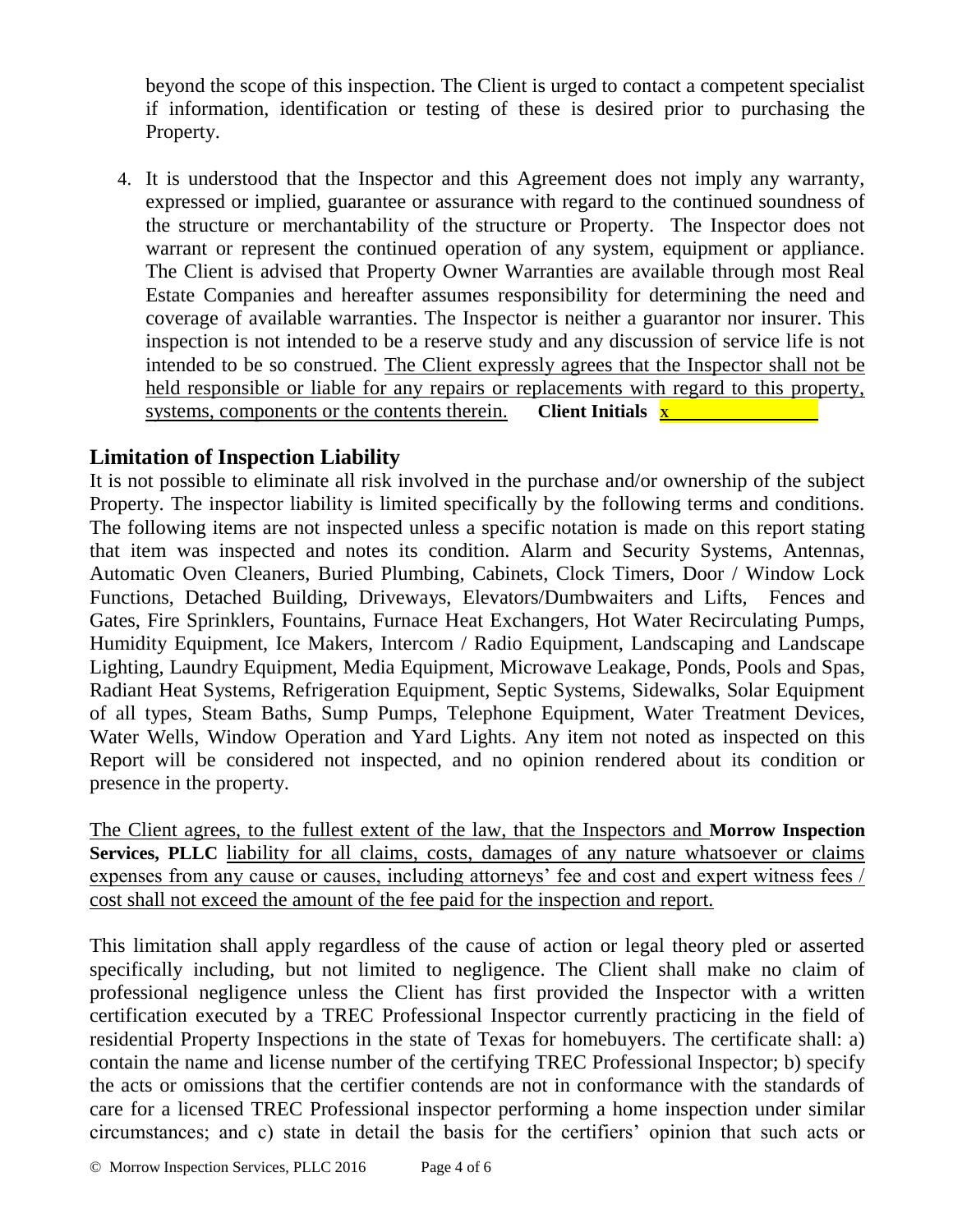beyond the scope of this inspection. The Client is urged to contact a competent specialist if information, identification or testing of these is desired prior to purchasing the Property.

4. It is understood that the Inspector and this Agreement does not imply any warranty, expressed or implied, guarantee or assurance with regard to the continued soundness of the structure or merchantability of the structure or Property. The Inspector does not warrant or represent the continued operation of any system, equipment or appliance. The Client is advised that Property Owner Warranties are available through most Real Estate Companies and hereafter assumes responsibility for determining the need and coverage of available warranties. The Inspector is neither a guarantor nor insurer. This inspection is not intended to be a reserve study and any discussion of service life is not intended to be so construed. The Client expressly agrees that the Inspector shall not be held responsible or liable for any repairs or replacements with regard to this property, systems, components or the contents therein. **Client Initials <sup>X</sup>**

# **Limitation of Inspection Liability**

It is not possible to eliminate all risk involved in the purchase and/or ownership of the subject Property. The inspector liability is limited specifically by the following terms and conditions. The following items are not inspected unless a specific notation is made on this report stating that item was inspected and notes its condition. Alarm and Security Systems, Antennas, Automatic Oven Cleaners, Buried Plumbing, Cabinets, Clock Timers, Door / Window Lock Functions, Detached Building, Driveways, Elevators/Dumbwaiters and Lifts, Fences and Gates, Fire Sprinklers, Fountains, Furnace Heat Exchangers, Hot Water Recirculating Pumps, Humidity Equipment, Ice Makers, Intercom / Radio Equipment, Landscaping and Landscape Lighting, Laundry Equipment, Media Equipment, Microwave Leakage, Ponds, Pools and Spas, Radiant Heat Systems, Refrigeration Equipment, Septic Systems, Sidewalks, Solar Equipment of all types, Steam Baths, Sump Pumps, Telephone Equipment, Water Treatment Devices, Water Wells, Window Operation and Yard Lights. Any item not noted as inspected on this Report will be considered not inspected, and no opinion rendered about its condition or presence in the property.

The Client agrees, to the fullest extent of the law, that the Inspectors and **Morrow Inspection**  Services, PLLC liability for all claims, costs, damages of any nature whatsoever or claims expenses from any cause or causes, including attorneys' fee and cost and expert witness fees / cost shall not exceed the amount of the fee paid for the inspection and report.

This limitation shall apply regardless of the cause of action or legal theory pled or asserted specifically including, but not limited to negligence. The Client shall make no claim of professional negligence unless the Client has first provided the Inspector with a written certification executed by a TREC Professional Inspector currently practicing in the field of residential Property Inspections in the state of Texas for homebuyers. The certificate shall: a) contain the name and license number of the certifying TREC Professional Inspector; b) specify the acts or omissions that the certifier contends are not in conformance with the standards of care for a licensed TREC Professional inspector performing a home inspection under similar circumstances; and c) state in detail the basis for the certifiers' opinion that such acts or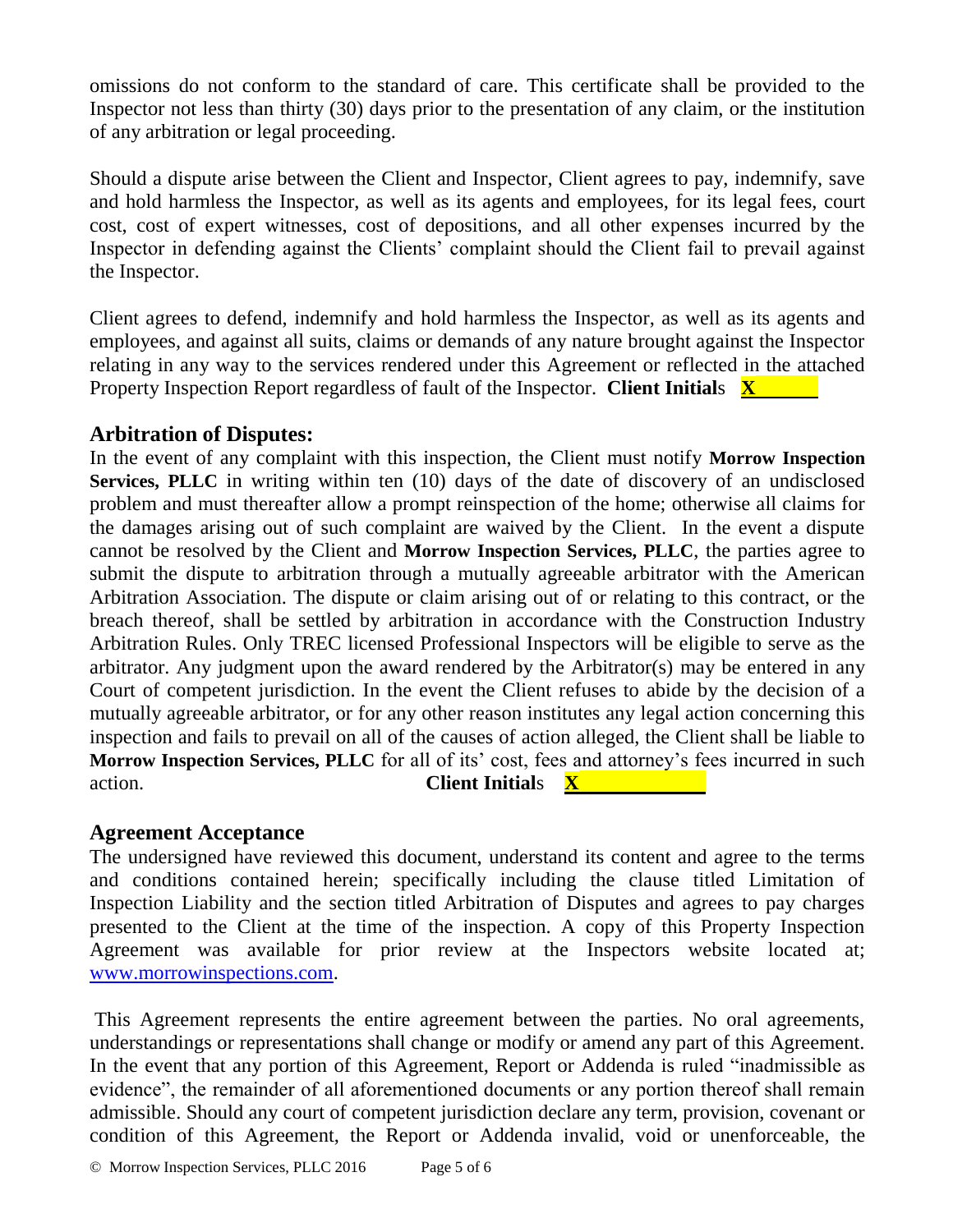omissions do not conform to the standard of care. This certificate shall be provided to the Inspector not less than thirty (30) days prior to the presentation of any claim, or the institution of any arbitration or legal proceeding.

Should a dispute arise between the Client and Inspector, Client agrees to pay, indemnify, save and hold harmless the Inspector, as well as its agents and employees, for its legal fees, court cost, cost of expert witnesses, cost of depositions, and all other expenses incurred by the Inspector in defending against the Clients' complaint should the Client fail to prevail against the Inspector.

Client agrees to defend, indemnify and hold harmless the Inspector, as well as its agents and employees, and against all suits, claims or demands of any nature brought against the Inspector relating in any way to the services rendered under this Agreement or reflected in the attached Property Inspection Report regardless of fault of the Inspector. **Client Initial**s **X** 

### **Arbitration of Disputes:**

In the event of any complaint with this inspection, the Client must notify **Morrow Inspection Services, PLLC** in writing within ten (10) days of the date of discovery of an undisclosed problem and must thereafter allow a prompt reinspection of the home; otherwise all claims for the damages arising out of such complaint are waived by the Client. In the event a dispute cannot be resolved by the Client and **Morrow Inspection Services, PLLC**, the parties agree to submit the dispute to arbitration through a mutually agreeable arbitrator with the American Arbitration Association. The dispute or claim arising out of or relating to this contract, or the breach thereof, shall be settled by arbitration in accordance with the Construction Industry Arbitration Rules. Only TREC licensed Professional Inspectors will be eligible to serve as the arbitrator. Any judgment upon the award rendered by the Arbitrator(s) may be entered in any Court of competent jurisdiction. In the event the Client refuses to abide by the decision of a mutually agreeable arbitrator, or for any other reason institutes any legal action concerning this inspection and fails to prevail on all of the causes of action alleged, the Client shall be liable to **Morrow Inspection Services, PLLC** for all of its' cost, fees and attorney's fees incurred in such action. **Client Initial**s **X** 

# **Agreement Acceptance**

The undersigned have reviewed this document, understand its content and agree to the terms and conditions contained herein; specifically including the clause titled Limitation of Inspection Liability and the section titled Arbitration of Disputes and agrees to pay charges presented to the Client at the time of the inspection. A copy of this Property Inspection Agreement was available for prior review at the Inspectors website located at; [www.morrowinspections.com.](http://www.morrowinspections.com/)

This Agreement represents the entire agreement between the parties. No oral agreements, understandings or representations shall change or modify or amend any part of this Agreement. In the event that any portion of this Agreement, Report or Addenda is ruled "inadmissible as evidence", the remainder of all aforementioned documents or any portion thereof shall remain admissible. Should any court of competent jurisdiction declare any term, provision, covenant or condition of this Agreement, the Report or Addenda invalid, void or unenforceable, the